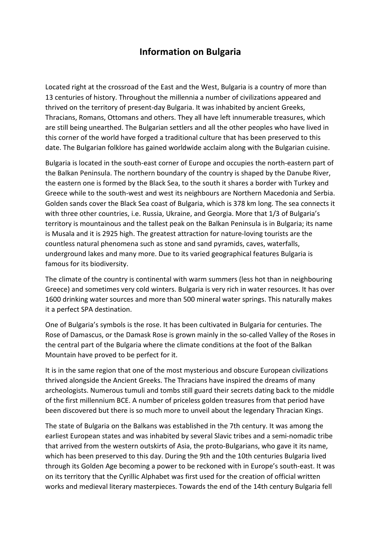# **Information on Bulgaria**

Located right at the crossroad of the East and the West, Bulgaria is a country of more than 13 centuries of history. Throughout the millennia a number of civilizations appeared and thrived on the territory of present-day Bulgaria. It was inhabited by ancient Greeks, Thracians, Romans, Ottomans and others. They all have left innumerable treasures, which are still being unearthed. The Bulgarian settlers and all the other peoples who have lived in this corner of the world have forged a traditional culture that has been preserved to this date. The Bulgarian folklore has gained worldwide acclaim along with the Bulgarian cuisine.

Bulgaria is located in the south-east corner of Europe and occupies the north-eastern part of the Balkan Peninsula. The northern boundary of the country is shaped by the Danube River, the eastern one is formed by the Black Sea, to the south it shares a border with Turkey and Greece while to the south-west and west its neighbours are Northern Macedonia and Serbia. Golden sands cover the Black Sea coast of Bulgaria, which is 378 km long. The sea connects it with three other countries, i.e. Russia, Ukraine, and Georgia. More that 1/3 of Bulgaria's territory is mountainous and the tallest peak on the Balkan Peninsula is in Bulgaria; its name is Musala and it is 2925 high. The greatest attraction for nature-loving tourists are the countless natural phenomena such as stone and sand pyramids, caves, waterfalls, underground lakes and many more. Due to its varied geographical features Bulgaria is famous for its biodiversity.

The climate of the country is continental with warm summers (less hot than in neighbouring Greece) and sometimes very cold winters. Bulgaria is very rich in water resources. It has over 1600 drinking water sources and more than 500 mineral water springs. This naturally makes it a perfect SPA destination.

One of Bulgaria's symbols is the rose. It has been cultivated in Bulgaria for centuries. The Rose of Damascus, or the Damask Rose is grown mainly in the so-called Valley of the Roses in the central part of the Bulgaria where the climate conditions at the foot of the Balkan Mountain have proved to be perfect for it.

It is in the same region that one of the most mysterious and obscure European civilizations thrived alongside the Ancient Greeks. The Thracians have inspired the dreams of many archeologists. Numerous tumuli and tombs still guard their secrets dating back to the middle of the first millennium BCE. A number of priceless golden treasures from that period have been discovered but there is so much more to unveil about the legendary Thracian Kings.

The state of Bulgaria on the Balkans was established in the 7th century. It was among the earliest European states and was inhabited by several Slavic tribes and a semi-nomadic tribe that arrived from the western outskirts of Asia, the proto-Bulgarians, who gave it its name, which has been preserved to this day. During the 9th and the 10th centuries Bulgaria lived through its Golden Age becoming a power to be reckoned with in Europe's south-east. It was on its territory that the Cyrillic Alphabet was first used for the creation of official written works and medieval literary masterpieces. Towards the end of the 14th century Bulgaria fell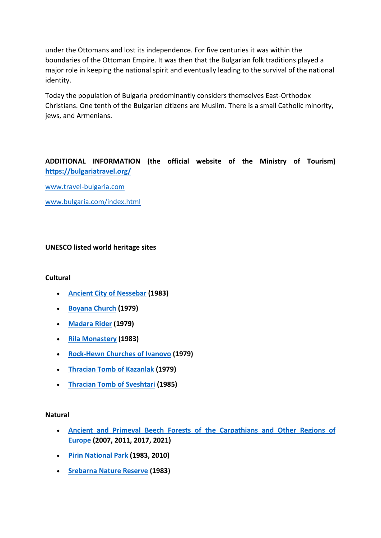under the Ottomans and lost its independence. For five centuries it was within the boundaries of the Ottoman Empire. It was then that the Bulgarian folk traditions played a major role in keeping the national spirit and eventually leading to the survival of the national identity.

Today the population of Bulgaria predominantly considers themselves East-Orthodox Christians. One tenth of the Bulgarian citizens are Muslim. There is a small Catholic minority, jews, and Armenians.

# **ADDITIONAL INFORMATION (the official website of the Ministry of Tourism) <https://bulgariatravel.org/>**

[www.travel-bulgaria.com](http://www.travel-bulgaria.com/)

[www.bulgaria.com/index.html](http://www.bulgaria.com/index.html)

# **UNESCO listed world heritage sites**

## **Cultural**

- **[Ancient City of Nessebar](https://whc.unesco.org/en/list/217) (1983)**
- **[Boyana Church](https://whc.unesco.org/en/list/42) (1979)**
- **[Madara Rider](https://whc.unesco.org/en/list/43) (1979)**
- **[Rila Monastery](https://whc.unesco.org/en/list/216) (1983)**
- **[Rock-Hewn Churches of Ivanovo](https://whc.unesco.org/en/list/45) (1979)**
- **[Thracian Tomb of Kazanlak](https://whc.unesco.org/en/list/44) (1979)**
- **[Thracian Tomb of Sveshtari](https://whc.unesco.org/en/list/359) (1985)**

#### **Natural**

- **[Ancient and Primeval Beech Forests of the Carpathians and Other Regions of](https://whc.unesco.org/en/list/1133)  [Europe](https://whc.unesco.org/en/list/1133) (2007, 2011, 2017, 2021)**
- **[Pirin National Park](https://whc.unesco.org/en/list/225) (1983, 2010)**
- **[Srebarna Nature Reserve](https://whc.unesco.org/en/list/219) (1983)**